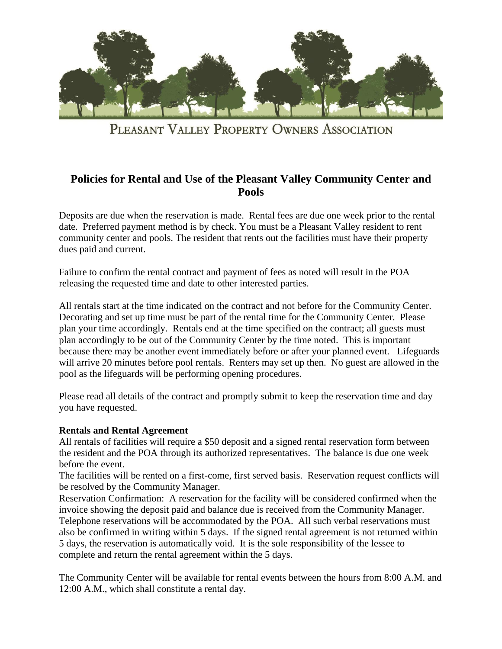

PLEASANT VALLEY PROPERTY OWNERS ASSOCIATION

# **Policies for Rental and Use of the Pleasant Valley Community Center and Pools**

Deposits are due when the reservation is made. Rental fees are due one week prior to the rental date. Preferred payment method is by check. You must be a Pleasant Valley resident to rent community center and pools. The resident that rents out the facilities must have their property dues paid and current.

Failure to confirm the rental contract and payment of fees as noted will result in the POA releasing the requested time and date to other interested parties.

All rentals start at the time indicated on the contract and not before for the Community Center. Decorating and set up time must be part of the rental time for the Community Center. Please plan your time accordingly. Rentals end at the time specified on the contract; all guests must plan accordingly to be out of the Community Center by the time noted. This is important because there may be another event immediately before or after your planned event. Lifeguards will arrive 20 minutes before pool rentals. Renters may set up then. No guest are allowed in the pool as the lifeguards will be performing opening procedures.

Please read all details of the contract and promptly submit to keep the reservation time and day you have requested.

#### **Rentals and Rental Agreement**

All rentals of facilities will require a \$50 deposit and a signed rental reservation form between the resident and the POA through its authorized representatives. The balance is due one week before the event.

The facilities will be rented on a first-come, first served basis. Reservation request conflicts will be resolved by the Community Manager.

Reservation Confirmation: A reservation for the facility will be considered confirmed when the invoice showing the deposit paid and balance due is received from the Community Manager. Telephone reservations will be accommodated by the POA. All such verbal reservations must also be confirmed in writing within 5 days. If the signed rental agreement is not returned within 5 days, the reservation is automatically void. It is the sole responsibility of the lessee to complete and return the rental agreement within the 5 days.

The Community Center will be available for rental events between the hours from 8:00 A.M. and 12:00 A.M., which shall constitute a rental day.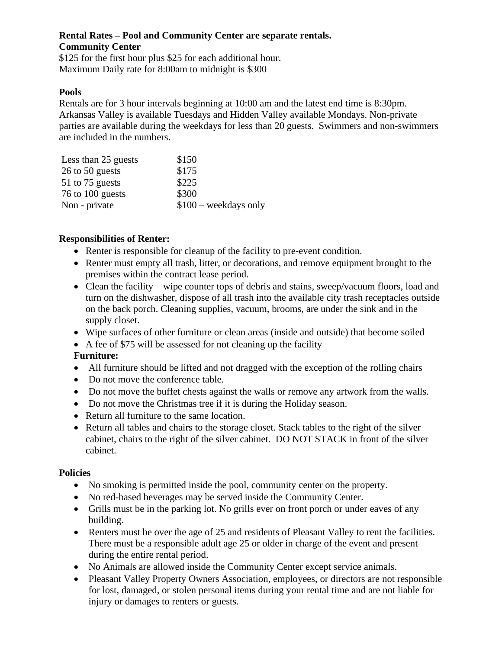## **Rental Rates – Pool and Community Center are separate rentals. Community Center**

\$125 for the first hour plus \$25 for each additional hour. Maximum Daily rate for 8:00am to midnight is \$300

#### **Pools**

Rentals are for 3 hour intervals beginning at 10:00 am and the latest end time is 8:30pm. Arkansas Valley is available Tuesdays and Hidden Valley available Mondays. Non-private parties are available during the weekdays for less than 20 guests. Swimmers and non-swimmers are included in the numbers.

| Less than 25 guests | \$150                  |
|---------------------|------------------------|
| 26 to 50 guests     | \$175                  |
| 51 to 75 guests     | \$225                  |
| 76 to 100 guests    | \$300                  |
| Non - private       | $$100$ – weekdays only |

## **Responsibilities of Renter:**

- Renter is responsible for cleanup of the facility to pre-event condition.
- Renter must empty all trash, litter, or decorations, and remove equipment brought to the premises within the contract lease period.
- Clean the facility wipe counter tops of debris and stains, sweep/vacuum floors, load and turn on the dishwasher, dispose of all trash into the available city trash receptacles outside on the back porch. Cleaning supplies, vacuum, brooms, are under the sink and in the supply closet.
- Wipe surfaces of other furniture or clean areas (inside and outside) that become soiled
- A fee of \$75 will be assessed for not cleaning up the facility

# **Furniture:**

- All furniture should be lifted and not dragged with the exception of the rolling chairs
- Do not move the conference table.
- Do not move the buffet chests against the walls or remove any artwork from the walls.
- Do not move the Christmas tree if it is during the Holiday season.
- Return all furniture to the same location.
- Return all tables and chairs to the storage closet. Stack tables to the right of the silver cabinet, chairs to the right of the silver cabinet. DO NOT STACK in front of the silver cabinet.

#### **Policies**

- No smoking is permitted inside the pool, community center on the property.
- No red-based beverages may be served inside the Community Center.
- Grills must be in the parking lot. No grills ever on front porch or under eaves of any building.
- Renters must be over the age of 25 and residents of Pleasant Valley to rent the facilities. There must be a responsible adult age 25 or older in charge of the event and present during the entire rental period.
- No Animals are allowed inside the Community Center except service animals.
- Pleasant Valley Property Owners Association, employees, or directors are not responsible for lost, damaged, or stolen personal items during your rental time and are not liable for injury or damages to renters or guests.